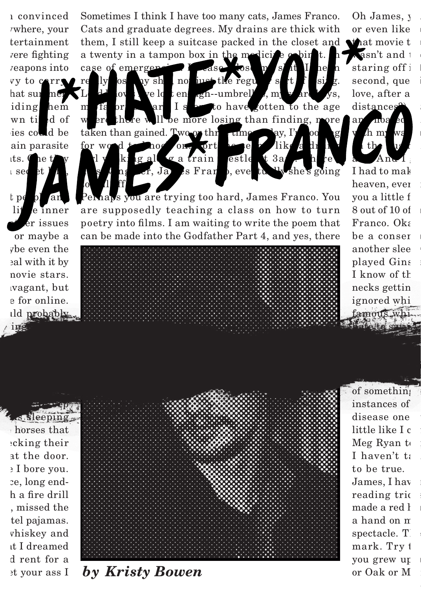1 convinced where, your tertainment vere fighting *reapons* into vy to  $c_1r_3$ hat sur mer iding hem wn til d of ies could be ain parasite its. Che ti $\mathbf{v}$  $\Box$  secret  $\Box$   $\Box$  $tpe$  pl and lit le inner  $er$  issues or maybe a vhe even the eal with it by novie stars. *vagant*, but

> e for online. ild probably.

 $\mu$  ings operas and sewing buttons onto the clothes they keep

them, I still keep a suitcase packed in the closet and what movie t Sometimes I think I have too many cats, James Franco. Cats and graduate degrees. My drains are thick with a twenty in a tampon box in the medicide  $\phi$  bin case of emergencies.

really os ay shit, no just the regular so ve lotten  $\alpha$ gh--umbrellas, my m fa  $\alpha$  is a set of have gotten to the age where there will be more losing than finding, more taken than gained. Two  $\alpha$  three times and day, I' for wood to hog on. Fort here seems like a drunk galoa train estle t 3am  $er, Ja$  es Franco, eventually she's going

 $\alpha$  *I*I ff. Perhaps you are trying too hard, James Franco. You are supposedly teaching a class on how to turn poetry into films. I am waiting to write the poem that can be made into the Godfather Part 4, and yes, there

Oh James, y or even like wasn't and the staring off i second, que love, after a distances



I had to mak heaven, ever you a little f  $8$  out of  $10$  of  $Franco. Ok<sub>i</sub>$ be a conser another slee played Gins I know of the necks getting ignored whi famous whi

hate to say it to play Ginsberg. I am more a Ryan Gosling sort of

me feel like a dull pencil pencil pencil pencil pencil pencil pencil pencil pencil pencil pencil pencil pencil s sleeping. horses that eking their at the door.  $\geq$  I bore you. ce, long endh a fire drill . missed the tel pajamas. vhiskey and ut I dreamed d rent for a et your ass I



rain and the furious kissing. That movie reminds me of something instances of disease one little like I c Meg Ryan to I haven't ta to be true. James, I hav reading tric made a red l a hand on m spectacle. T mark. Try t you grew up or Oak or M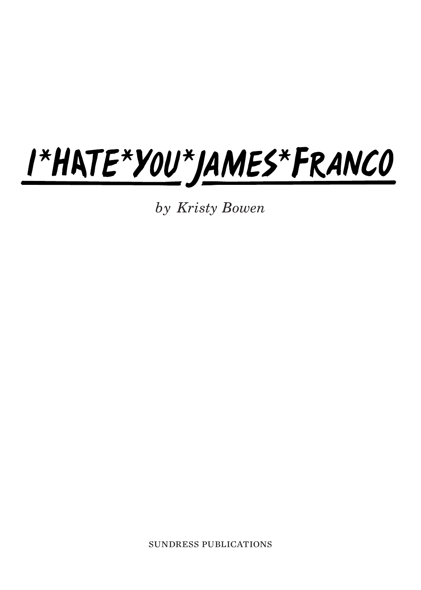## I\*HATE\*YOU\*JAMES\*FRANCO

by Kristy Bowen

sundress publications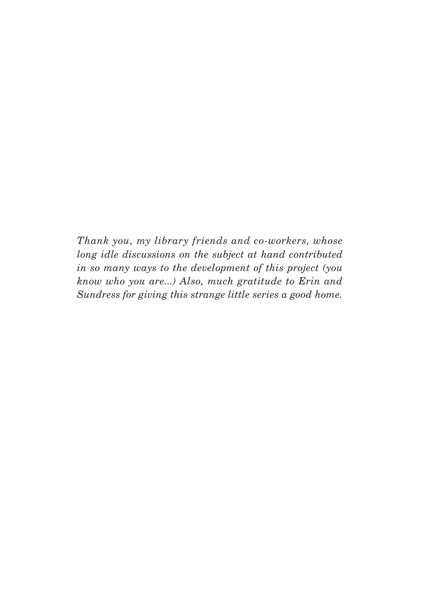Thank you, my library friends and co-workers, whose long idle discussions on the subject at hand contributed in so many ways to the development of this project (you know who you are...) Also, much gratitude to Erin and Sundress for giving this strange little series a good home.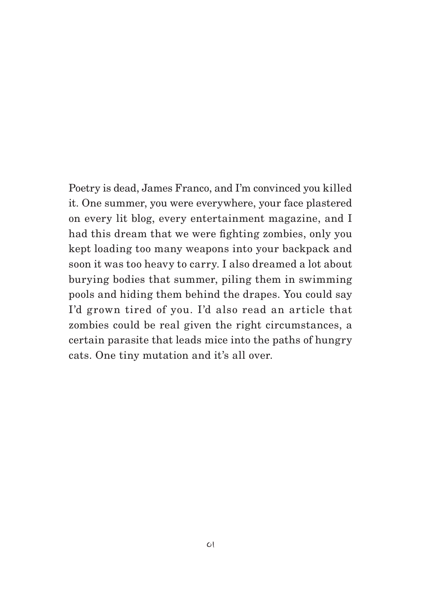Poetry is dead, James Franco, and I'm convinced you killed it. One summer, you were everywhere, your face plastered on every lit blog, every entertainment magazine, and I had this dream that we were fighting zombies, only you kept loading too many weapons into your backpack and soon it was too heavy to carry. I also dreamed a lot about burying bodies that summer, piling them in swimming pools and hiding them behind the drapes. You could say I'd grown tired of you. I'd also read an article that zombies could be real given the right circumstances, a certain parasite that leads mice into the paths of hungry cats. One tiny mutation and it's all over.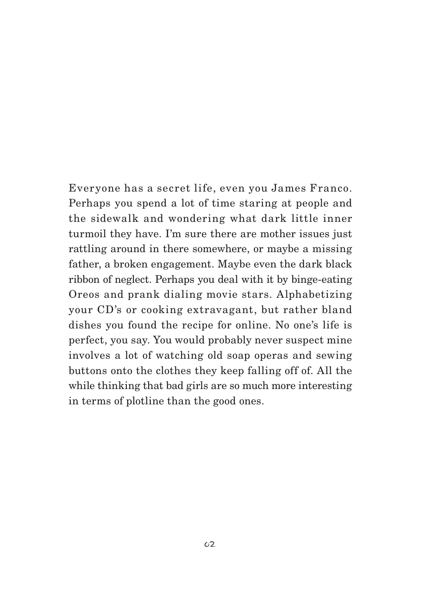Everyone has a secret life, even you James Franco. Perhaps you spend a lot of time staring at people and the sidewalk and wondering what dark little inner turmoil they have. I'm sure there are mother issues just rattling around in there somewhere, or maybe a missing father, a broken engagement. Maybe even the dark black ribbon of neglect. Perhaps you deal with it by binge-eating Oreos and prank dialing movie stars. Alphabetizing your CD's or cooking extravagant, but rather bland dishes you found the recipe for online. No one's life is perfect, you say. You would probably never suspect mine involves a lot of watching old soap operas and sewing buttons onto the clothes they keep falling off of. All the while thinking that bad girls are so much more interesting in terms of plotline than the good ones.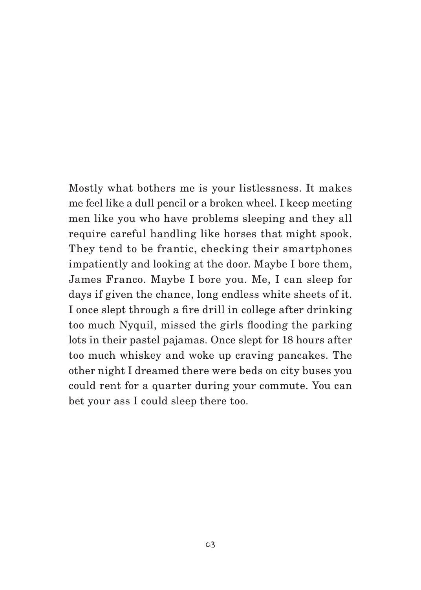Mostly what bothers me is your listlessness. It makes me feel like a dull pencil or a broken wheel. I keep meeting men like you who have problems sleeping and they all require careful handling like horses that might spook. They tend to be frantic, checking their smartphones impatiently and looking at the door. Maybe I bore them, James Franco. Maybe I bore you. Me, I can sleep for days if given the chance, long endless white sheets of it. I once slept through a fire drill in college after drinking too much Nyquil, missed the girls flooding the parking lots in their pastel pajamas. Once slept for 18 hours after too much whiskey and woke up craving pancakes. The other night I dreamed there were beds on city buses you could rent for a quarter during your commute. You can bet your ass I could sleep there too.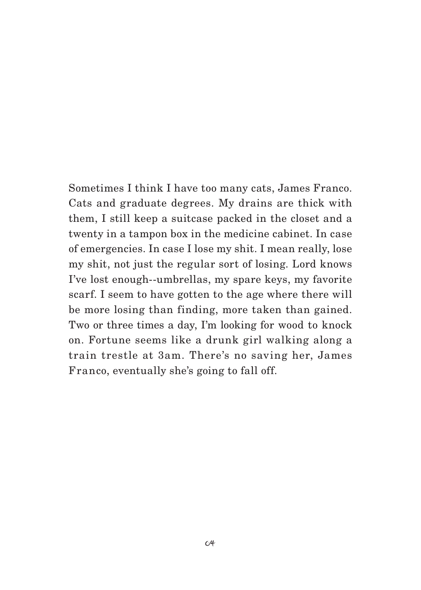Sometimes I think I have too many cats, James Franco. Cats and graduate degrees. My drains are thick with them, I still keep a suitcase packed in the closet and a twenty in a tampon box in the medicine cabinet. In case of emergencies. In case I lose my shit. I mean really, lose my shit, not just the regular sort of losing. Lord knows I've lost enough--umbrellas, my spare keys, my favorite scarf. I seem to have gotten to the age where there will be more losing than finding, more taken than gained. Two or three times a day, I'm looking for wood to knock on. Fortune seems like a drunk girl walking along a train trestle at 3am. There's no saving her, James Franco, eventually she's going to fall off.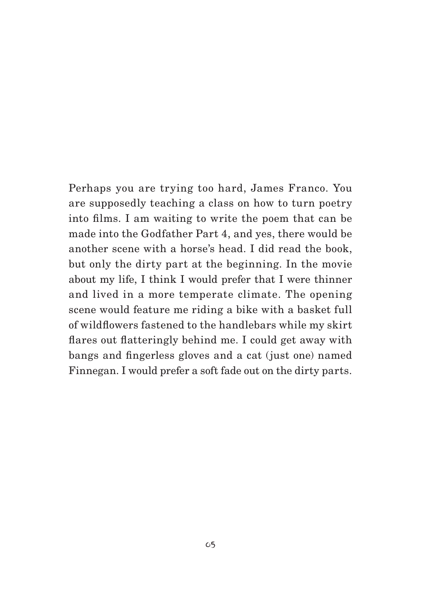Perhaps you are trying too hard, James Franco. You are supposedly teaching a class on how to turn poetry into films. I am waiting to write the poem that can be made into the Godfather Part 4, and yes, there would be another scene with a horse's head. I did read the book, but only the dirty part at the beginning. In the movie about my life, I think I would prefer that I were thinner and lived in a more temperate climate. The opening scene would feature me riding a bike with a basket full of wildflowers fastened to the handlebars while my skirt flares out flatteringly behind me. I could get away with bangs and fingerless gloves and a cat (just one) named Finnegan. I would prefer a soft fade out on the dirty parts.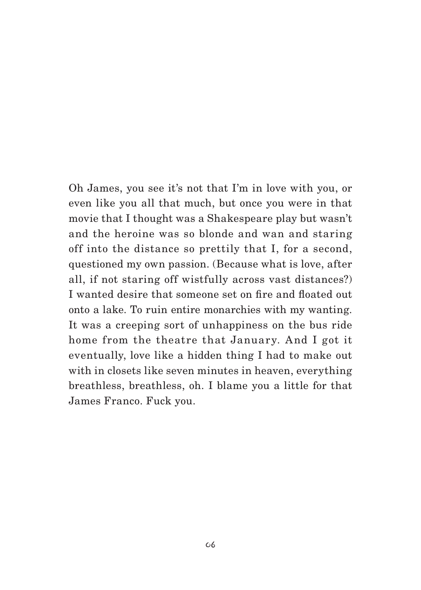Oh James, you see it's not that I'm in love with you, or even like you all that much, but once you were in that movie that I thought was a Shakespeare play but wasn't and the heroine was so blonde and wan and staring off into the distance so prettily that I, for a second, questioned my own passion. (Because what is love, after all, if not staring off wistfully across vast distances?) I wanted desire that someone set on fire and floated out onto a lake. To ruin entire monarchies with my wanting. It was a creeping sort of unhappiness on the bus ride home from the theatre that January. And I got it eventually, love like a hidden thing I had to make out with in closets like seven minutes in heaven, everything breathless, breathless, oh. I blame you a little for that James Franco. Fuck you.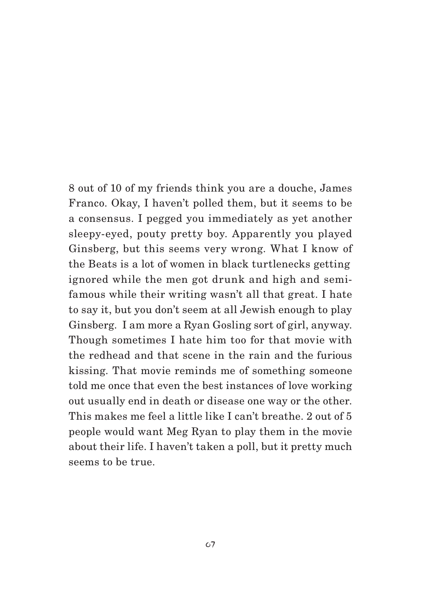8 out of 10 of my friends think you are a douche, James Franco. Okay, I haven't polled them, but it seems to be a consensus. I pegged you immediately as yet another sleepy-eyed, pouty pretty boy. Apparently you played Ginsberg, but this seems very wrong. What I know of the Beats is a lot of women in black turtlenecks getting ignored while the men got drunk and high and semifamous while their writing wasn't all that great. I hate to say it, but you don't seem at all Jewish enough to play Ginsberg. I am more a Ryan Gosling sort of girl, anyway. Though sometimes I hate him too for that movie with the redhead and that scene in the rain and the furious kissing. That movie reminds me of something someone told me once that even the best instances of love working out usually end in death or disease one way or the other. This makes me feel a little like I can't breathe. 2 out of 5 people would want Meg Ryan to play them in the movie about their life. I haven't taken a poll, but it pretty much seems to be true.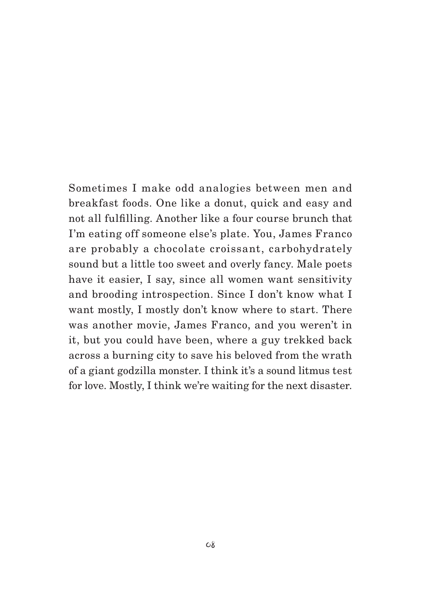Sometimes I make odd analogies between men and breakfast foods. One like a donut, quick and easy and not all fulfilling. Another like a four course brunch that I'm eating off someone else's plate. You, James Franco are probably a chocolate croissant, carbohydrately sound but a little too sweet and overly fancy. Male poets have it easier, I say, since all women want sensitivity and brooding introspection. Since I don't know what I want mostly, I mostly don't know where to start. There was another movie, James Franco, and you weren't in it, but you could have been, where a guy trekked back across a burning city to save his beloved from the wrath of a giant godzilla monster. I think it's a sound litmus test for love. Mostly, I think we're waiting for the next disaster.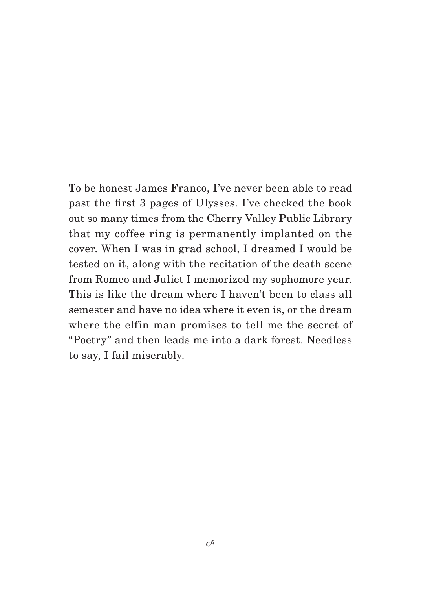To be honest James Franco, I've never been able to read past the first 3 pages of Ulysses. I've checked the book out so many times from the Cherry Valley Public Library that my coffee ring is permanently implanted on the cover. When I was in grad school, I dreamed I would be tested on it, along with the recitation of the death scene from Romeo and Juliet I memorized my sophomore year. This is like the dream where I haven't been to class all semester and have no idea where it even is, or the dream where the elfin man promises to tell me the secret of "Poetry" and then leads me into a dark forest. Needless to say, I fail miserably.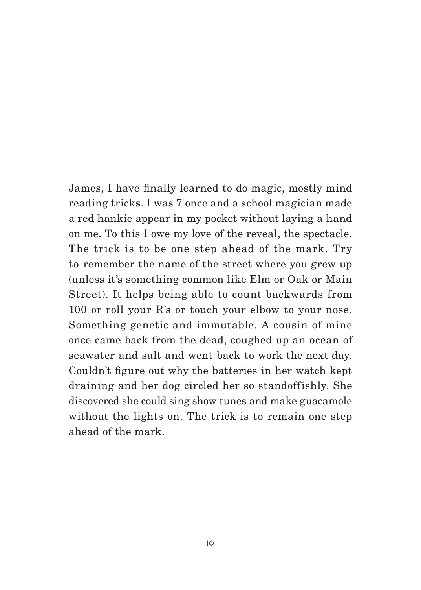James, I have finally learned to do magic, mostly mind reading tricks. I was 7 once and a school magician made a red hankie appear in my pocket without laying a hand on me. To this I owe my love of the reveal, the spectacle. The trick is to be one step ahead of the mark. Try to remember the name of the street where you grew up (unless it's something common like Elm or Oak or Main Street). It helps being able to count backwards from 100 or roll your R's or touch your elbow to your nose. Something genetic and immutable. A cousin of mine once came back from the dead, coughed up an ocean of seawater and salt and went back to work the next day. Couldn't figure out why the batteries in her watch kept draining and her dog circled her so standoffishly. She discovered she could sing show tunes and make guacamole without the lights on. The trick is to remain one step ahead of the mark.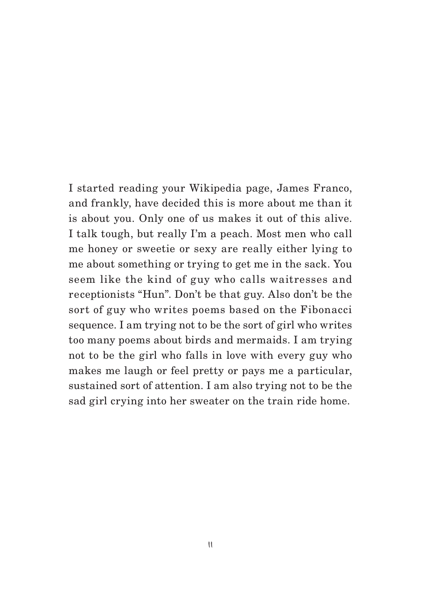I started reading your Wikipedia page, James Franco, and frankly, have decided this is more about me than it is about you. Only one of us makes it out of this alive. I talk tough, but really I'm a peach. Most men who call me honey or sweetie or sexy are really either lying to me about something or trying to get me in the sack. You seem like the kind of guy who calls waitresses and receptionists "Hun". Don't be that guy. Also don't be the sort of guy who writes poems based on the Fibonacci sequence. I am trying not to be the sort of girl who writes too many poems about birds and mermaids. I am trying not to be the girl who falls in love with every guy who makes me laugh or feel pretty or pays me a particular, sustained sort of attention. I am also trying not to be the sad girl crying into her sweater on the train ride home.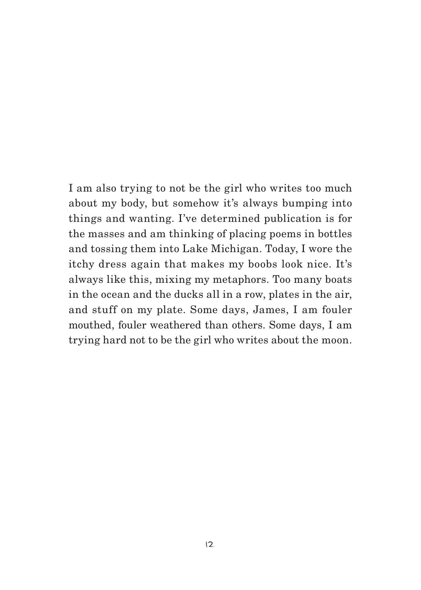I am also trying to not be the girl who writes too much about my body, but somehow it's always bumping into things and wanting. I've determined publication is for the masses and am thinking of placing poems in bottles and tossing them into Lake Michigan. Today, I wore the itchy dress again that makes my boobs look nice. It's always like this, mixing my metaphors. Too many boats in the ocean and the ducks all in a row, plates in the air, and stuff on my plate. Some days, James, I am fouler mouthed, fouler weathered than others. Some days, I am trying hard not to be the girl who writes about the moon.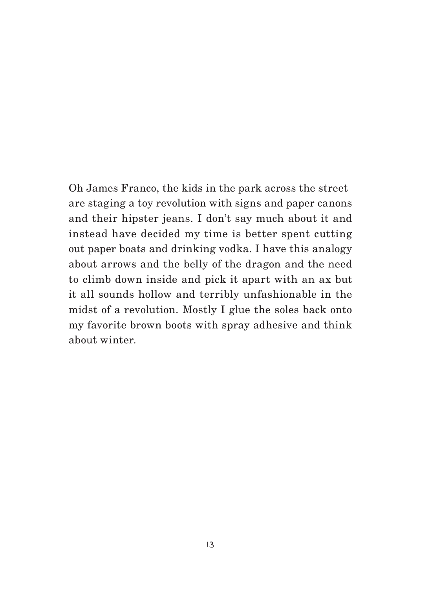Oh James Franco, the kids in the park across the street are staging a toy revolution with signs and paper canons and their hipster jeans. I don't say much about it and instead have decided my time is better spent cutting out paper boats and drinking vodka. I have this analogy about arrows and the belly of the dragon and the need to climb down inside and pick it apart with an ax but it all sounds hollow and terribly unfashionable in the midst of a revolution. Mostly I glue the soles back onto my favorite brown boots with spray adhesive and think about winter.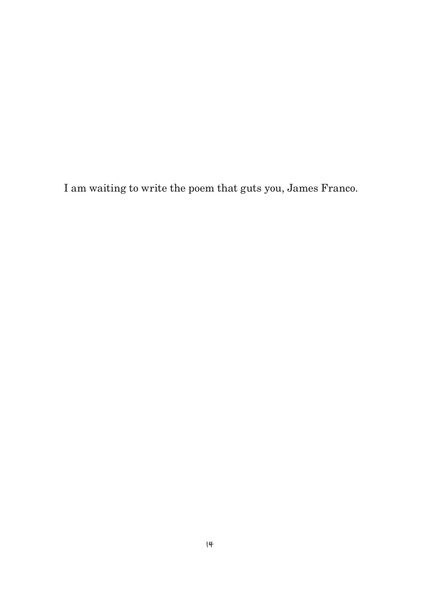I am waiting to write the poem that guts you, James Franco.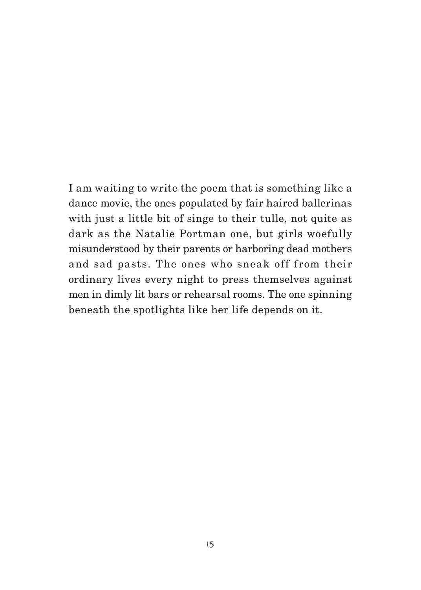I am waiting to write the poem that is something like a dance movie, the ones populated by fair haired ballerinas with just a little bit of singe to their tulle, not quite as dark as the Natalie Portman one, but girls woefully misunderstood by their parents or harboring dead mothers and sad pasts. The ones who sneak off from their ordinary lives every night to press themselves against men in dimly lit bars or rehearsal rooms. The one spinning beneath the spotlights like her life depends on it.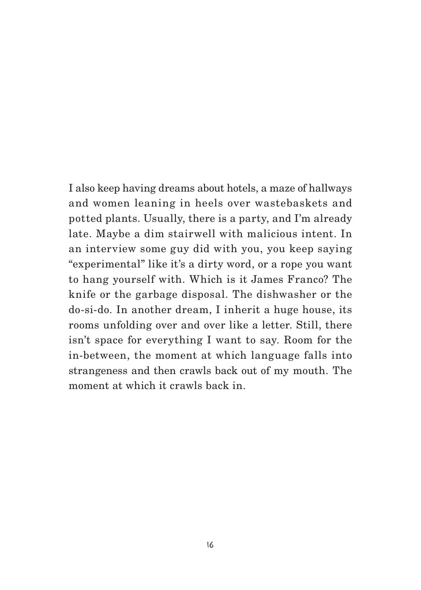I also keep having dreams about hotels, a maze of hallways and women leaning in heels over wastebaskets and potted plants. Usually, there is a party, and I'm already late. Maybe a dim stairwell with malicious intent. In an interview some guy did with you, you keep saying "experimental" like it's a dirty word, or a rope you want to hang yourself with. Which is it James Franco? The knife or the garbage disposal. The dishwasher or the do-si-do. In another dream, I inherit a huge house, its rooms unfolding over and over like a letter. Still, there isn't space for everything I want to say. Room for the in-between, the moment at which language falls into strangeness and then crawls back out of my mouth. The moment at which it crawls back in.